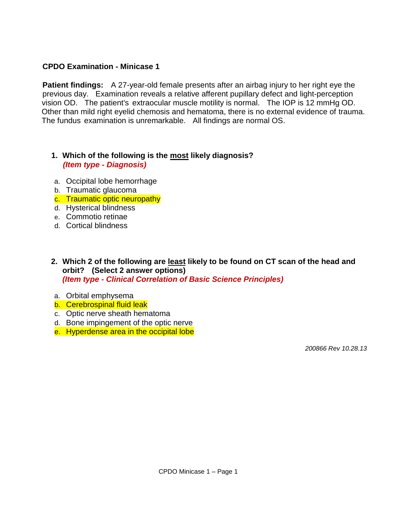# **CPDO Examination - Minicase 1**

**Patient findings:** A 27-year-old female presents after an airbag injury to her right eye the previous day. Examination reveals a relative afferent pupillary defect and light-perception vision OD. The patient's extraocular muscle motility is normal. The IOP is 12 mmHg OD. Other than mild right eyelid chemosis and hematoma, there is no external evidence of trauma. The fundus examination is unremarkable. All findings are normal OS.

## **1. Which of the following is the most likely diagnosis?**  *(Item type - Diagnosis)*

- a. Occipital lobe hemorrhage
- b. Traumatic glaucoma
- c. Traumatic optic neuropathy
- d. Hysterical blindness
- e. Commotio retinae
- d. Cortical blindness
- **2. Which 2 of the following are least likely to be found on CT scan of the head and orbit? (Select 2 answer options)**  *(Item type - Clinical Correlation of Basic Science Principles)*
- a. Orbital emphysema
- b. Cerebrospinal fluid leak
- c. Optic nerve sheath hematoma
- d. Bone impingement of the optic nerve
- e. Hyperdense area in the occipital lobe

 *200866 Rev 10.28.13*